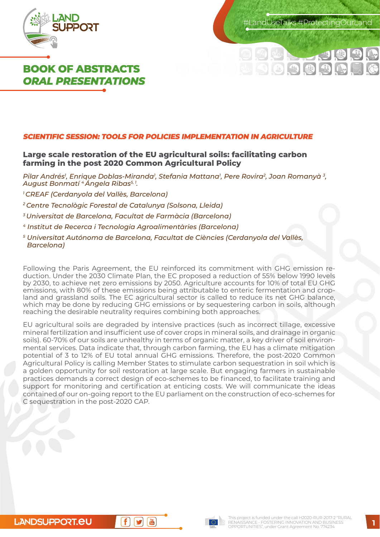

 $\,$  andUseTalks #ProtectingOurLand

**BISE** 

# **BOOK OF ABSTRACTS**  *ORAL PRESENTATIONS*

#### **SCIENTIFIC SESSION: TOOLS FOR POLICIES IMPLEMENTATION IN AGRICULTURE**

# **Large scale restoration of the EU agricultural soils: facilitating carbon farming in the post 2020 Common Agricultural Policy**

*Pilar Andrés1 , Enrique Doblas-Miranda1 , Stefania Mattana1 , Pere Rovira2, Joan Romanyà 3, August Bonmatí 4 Ángela Ribas5, 1.* 

- *1 CREAF (Cerdanyola del Vallès, Barcelona)*
- *2 Centre Tecnològic Forestal de Catalunya (Solsona, Lleida)*
- *3 Universitat de Barcelona, Facultat de Farmàcia (Barcelona)*
- *4 Institut de Recerca i Tecnologia Agroalimentàries (Barcelona)*
- *<sup>5</sup> Universitat Autónoma de Barcelona, Facultat de Ciències (Cerdanyola del Vallès, Barcelona)*

Following the Paris Agreement, the EU reinforced its commitment with GHG emission reduction. Under the 2030 Climate Plan, the EC proposed a reduction of 55% below 1990 levels by 2030, to achieve net zero emissions by 2050. Agriculture accounts for 10% of total EU GHG emissions, with 80% of these emissions being attributable to enteric fermentation and cropland and grassland soils. The EC agricultural sector is called to reduce its net GHG balance, which may be done by reducing GHG emissions or by sequestering carbon in soils, although reaching the desirable neutrality requires combining both approaches.

EU agricultural soils are degraded by intensive practices (such as incorrect tillage, excessive mineral fertilization and insufficient use of cover crops in mineral soils, and drainage in organic soils). 60-70% of our soils are unhealthy in terms of organic matter, a key driver of soil environmental services. Data indicate that, through carbon farming, the EU has a climate mitigation potential of 3 to 12% of EU total annual GHG emissions. Therefore, the post-2020 Common Agricultural Policy is calling Member States to stimulate carbon sequestration in soil which is a golden opportunity for soil restoration at large scale. But engaging farmers in sustainable practices demands a correct design of eco-schemes to be financed, to facilitate training and support for monitoring and certification at enticing costs. We will communicate the ideas contained of our on-going report to the EU parliament on the construction of eco-schemes for C sequestration in the post-2020 CAP.



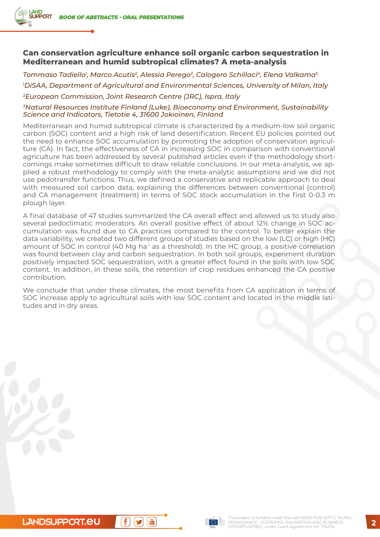**AND** 

## **Can conservation agriculture enhance soil organic carbon sequestration in Mediterranean and humid subtropical climates? A meta-analysis**

*Tommaso Tadiello1 , Marco Acutis2, Alessia Perego3, Calogero Schillaci4, Elena Valkama5 1 DiSAA, Department of Agricultural and Environmental Sciences, University of Milan, Italy 2European Commission, Joint Research Centre (JRC), Ispra, Italy*

#### *3Natural Resources Institute Finland (Luke), Bioeconomy and Environment, Sustainability Science and Indicators, Tietotie 4, 31600 Jokioinen, Finland*

Mediterranean and humid subtropical climate is characterized by a medium-low soil organic carbon (SOC) content and a high risk of land desertification. Recent EU policies pointed out the need to enhance SOC accumulation by promoting the adoption of conservation agriculture (CA). In fact, the effectiveness of CA in increasing SOC in comparison with conventional agriculture has been addressed by several published articles even if the methodology shortcomings make sometimes difficult to draw reliable conclusions. In our meta-analysis, we applied a robust methodology to comply with the meta-analytic assumptions and we did not use pedotransfer functions. Thus, we defined a conservative and replicable approach to deal with measured soil carbon data, explaining the differences between conventional (control) and CA management (treatment) in terms of SOC stock accumulation in the first 0-0.3 m plough layer.

A final database of 47 studies summarized the CA overall effect and allowed us to study also several pedoclimatic moderators. An overall positive effect of about 12% change in SOC accumulation was found due to CA practices compared to the control. To better explain the data variability, we created two different groups of studies based on the low (LC) or high (HC) amount of SOC in control (40 Mg ha<sup>-1</sup> as a threshold). In the HC group, a positive correlation was found between clay and carbon sequestration. In both soil groups, experiment duration positively impacted SOC sequestration, with a greater effect found in the soils with low SOC content. In addition, in these soils, the retention of crop residues enhanced the CA positive contribution.

We conclude that under these climates, the most benefits from CA application in terms of SOC increase apply to agricultural soils with low SOC content and located in the middle latitudes and in dry areas.

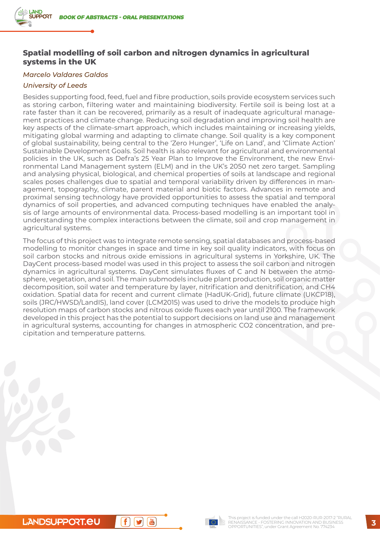# **Spatial modelling of soil carbon and nitrogen dynamics in agricultural systems in the UK**

#### *Marcelo Valdares Galdos*

#### *University of Leeds*

Besides supporting food, feed, fuel and fibre production, soils provide ecosystem services such as storing carbon, filtering water and maintaining biodiversity. Fertile soil is being lost at a rate faster than it can be recovered, primarily as a result of inadequate agricultural management practices and climate change. Reducing soil degradation and improving soil health are key aspects of the climate-smart approach, which includes maintaining or increasing yields, mitigating global warming and adapting to climate change. Soil quality is a key component of global sustainability, being central to the 'Zero Hunger', 'Life on Land', and 'Climate Action' Sustainable Development Goals. Soil health is also relevant for agricultural and environmental policies in the UK, such as Defra's 25 Year Plan to Improve the Environment, the new Environmental Land Management system (ELM) and in the UK's 2050 net zero target. Sampling and analysing physical, biological, and chemical properties of soils at landscape and regional scales poses challenges due to spatial and temporal variability driven by differences in management, topography, climate, parent material and biotic factors. Advances in remote and proximal sensing technology have provided opportunities to assess the spatial and temporal dynamics of soil properties, and advanced computing techniques have enabled the analysis of large amounts of environmental data. Process-based modelling is an important tool in understanding the complex interactions between the climate, soil and crop management in agricultural systems.

The focus of this project was to integrate remote sensing, spatial databases and process-based modelling to monitor changes in space and time in key soil quality indicators, with focus on soil carbon stocks and nitrous oxide emissions in agricultural systems in Yorkshire, UK. The DayCent process-based model was used in this project to assess the soil carbon and nitrogen dynamics in agricultural systems. DayCent simulates fluxes of C and N between the atmosphere, vegetation, and soil. The main submodels include plant production, soil organic matter decomposition, soil water and temperature by layer, nitrification and denitrification, and CH4 oxidation. Spatial data for recent and current climate (HadUK-Grid), future climate (UKCP18), soils (JRC/HWSD/LandIS), land cover (LCM2015) was used to drive the models to produce high resolution maps of carbon stocks and nitrous oxide fluxes each year until 2100. The framework developed in this project has the potential to support decisions on land use and management in agricultural systems, accounting for changes in atmospheric CO2 concentration, and precipitation and temperature patterns.

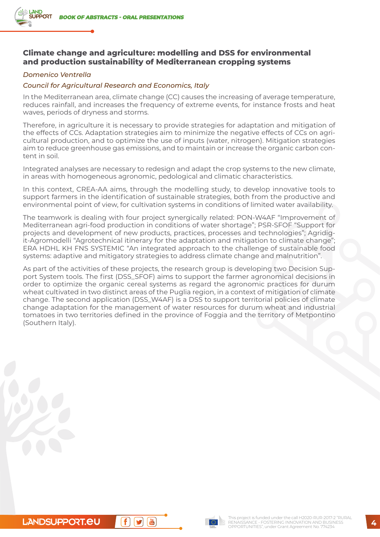# **Climate change and agriculture: modelling and DSS for environmental and production sustainability of Mediterranean cropping systems**

#### *Domenico Ventrella*

#### *Council for Agricultural Research and Economics, Italy*

In the Mediterranean area, climate change (CC) causes the increasing of average temperature, reduces rainfall, and increases the frequency of extreme events, for instance frosts and heat waves, periods of dryness and storms.

Therefore, in agriculture it is necessary to provide strategies for adaptation and mitigation of the effects of CCs. Adaptation strategies aim to minimize the negative effects of CCs on agricultural production, and to optimize the use of inputs (water, nitrogen). Mitigation strategies aim to reduce greenhouse gas emissions, and to maintain or increase the organic carbon content in soil.

Integrated analyses are necessary to redesign and adapt the crop systems to the new climate, in areas with homogeneous agronomic, pedological and climatic characteristics.

In this context, CREA-AA aims, through the modelling study, to develop innovative tools to support farmers in the identification of sustainable strategies, both from the productive and environmental point of view, for cultivation systems in conditions of limited water availability.

The teamwork is dealing with four project synergically related: PON-W4AF "Improvement of Mediterranean agri-food production in conditions of water shortage"; PSR-SFOF "Support for projects and development of new products, practices, processes and technologies"; Agridigit-Agromodelli "Agrotechnical itinerary for the adaptation and mitigation to climate change"; ERA HDHL KH FNS SYSTEMIC "An integrated approach to the challenge of sustainable food systems: adaptive and mitigatory strategies to address climate change and malnutrition".

As part of the activities of these projects, the research group is developing two Decision Support System tools. The first (DSS\_SFOF) aims to support the farmer agronomical decisions in order to optimize the organic cereal systems as regard the agronomic practices for durum wheat cultivated in two distinct areas of the Puglia region, in a context of mitigation of climate change. The second application (DSS\_W4AF) is a DSS to support territorial policies of climate change adaptation for the management of water resources for durum wheat and industrial tomatoes in two territories defined in the province of Foggia and the territory of Metpontino (Southern Italy).

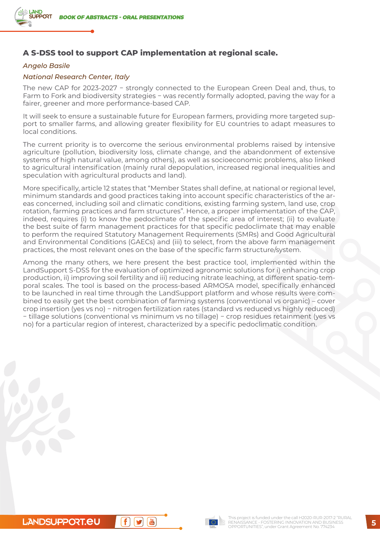# **A S-DSS tool to support CAP implementation at regional scale.**

#### *Angelo Basile*

#### *National Research Center, Italy*

The new CAP for 2023-2027 − strongly connected to the European Green Deal and, thus, to Farm to Fork and biodiversity strategies − was recently formally adopted, paving the way for a fairer, greener and more performance-based CAP.

It will seek to ensure a sustainable future for European farmers, providing more targeted support to smaller farms, and allowing greater flexibility for EU countries to adapt measures to local conditions.

The current priority is to overcome the serious environmental problems raised by intensive agriculture (pollution, biodiversity loss, climate change, and the abandonment of extensive systems of high natural value, among others), as well as socioeconomic problems, also linked to agricultural intensification (mainly rural depopulation, increased regional inequalities and speculation with agricultural products and land).

More specifically, article 12 states that "Member States shall define, at national or regional level, minimum standards and good practices taking into account specific characteristics of the areas concerned, including soil and climatic conditions, existing farming system, land use, crop rotation, farming practices and farm structures". Hence, a proper implementation of the CAP, indeed, requires (i) to know the pedoclimate of the specific area of interest; (ii) to evaluate the best suite of farm management practices for that specific pedoclimate that may enable to perform the required Statutory Management Requirements (SMRs) and Good Agricultural and Environmental Conditions (GAECs) and (iii) to select, from the above farm management practices, the most relevant ones on the base of the specific farm structure/system.

Among the many others, we here present the best practice tool, implemented within the LandSupport S-DSS for the evaluation of optimized agronomic solutions for i) enhancing crop production, ii) improving soil fertility and iii) reducing nitrate leaching, at different spatio-temporal scales. The tool is based on the process-based ARMOSA model, specifically enhanced to be launched in real time through the LandSupport platform and whose results were combined to easily get the best combination of farming systems (conventional vs organic) – cover crop insertion (yes vs no) − nitrogen fertilization rates (standard vs reduced vs highly reduced) − tillage solutions (conventional vs minimum vs no tillage) − crop residues retainment (yes vs no) for a particular region of interest, characterized by a specific pedoclimatic condition.

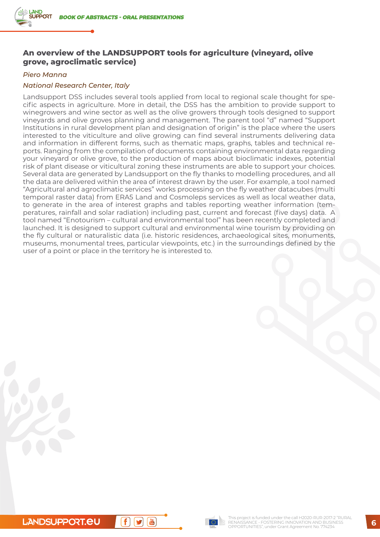# **An overview of the LANDSUPPORT tools for agriculture (vineyard, olive grove, agroclimatic service)**

#### *Piero Manna*

#### *National Research Center, Italy*

Landsupport DSS includes several tools applied from local to regional scale thought for specific aspects in agriculture. More in detail, the DSS has the ambition to provide support to winegrowers and wine sector as well as the olive growers through tools designed to support vineyards and olive groves planning and management. The parent tool "d" named "Support Institutions in rural development plan and designation of origin" is the place where the users interested to the viticulture and olive growing can find several instruments delivering data and information in different forms, such as thematic maps, graphs, tables and technical reports. Ranging from the compilation of documents containing environmental data regarding your vineyard or olive grove, to the production of maps about bioclimatic indexes, potential risk of plant disease or viticultural zoning these instruments are able to support your choices. Several data are generated by Landsupport on the fly thanks to modelling procedures, and all the data are delivered within the area of interest drawn by the user. For example, a tool named "Agricultural and agroclimatic services" works processing on the fly weather datacubes (multi temporal raster data) from ERA5 Land and Cosmoleps services as well as local weather data, to generate in the area of interest graphs and tables reporting weather information (temperatures, rainfall and solar radiation) including past, current and forecast (five days) data. A tool named "Enotourism – cultural and environmental tool" has been recently completed and launched. It is designed to support cultural and environmental wine tourism by providing on the fly cultural or naturalistic data (i.e. historic residences, archaeological sites, monuments, museums, monumental trees, particular viewpoints, etc.) in the surroundings defined by the user of a point or place in the territory he is interested to.



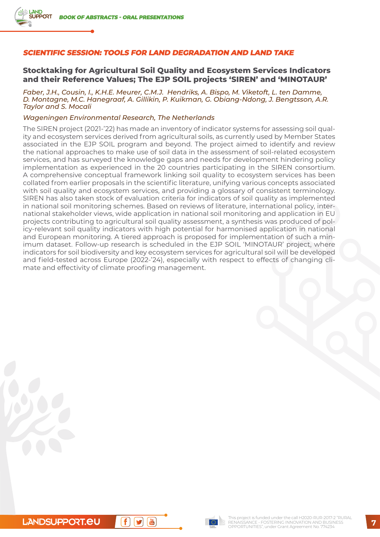#### **SCIENTIFIC SESSION: TOOLS FOR LAND DEGRADATION AND LAND TAKE**

#### **Stocktaking for Agricultural Soil Quality and Ecosystem Services Indicators and their Reference Values; The EJP SOIL projects 'SIREN' and 'MINOTAUR'**

*Faber, J.H., Cousin, I., K.H.E. Meurer, C.M.J. Hendriks, A. Bispo, M. Viketoft, L. ten Damme, D. Montagne, M.C. Hanegraaf, A. Gillikin, P. Kuikman, G. Obiang-Ndong, J. Bengtsson, A.R. Taylor and S. Mocali*

#### *Wageningen Environmental Research, The Netherlands*

The SIREN project (2021-'22) has made an inventory of indicator systems for assessing soil quality and ecosystem services derived from agricultural soils, as currently used by Member States associated in the EJP SOIL program and beyond. The project aimed to identify and review the national approaches to make use of soil data in the assessment of soil-related ecosystem services, and has surveyed the knowledge gaps and needs for development hindering policy implementation as experienced in the 20 countries participating in the SIREN consortium. A comprehensive conceptual framework linking soil quality to ecosystem services has been collated from earlier proposals in the scientific literature, unifying various concepts associated with soil quality and ecosystem services, and providing a glossary of consistent terminology. SIREN has also taken stock of evaluation criteria for indicators of soil quality as implemented in national soil monitoring schemes. Based on reviews of literature, international policy, international stakeholder views, wide application in national soil monitoring and application in EU projects contributing to agricultural soil quality assessment, a synthesis was produced of policy-relevant soil quality indicators with high potential for harmonised application in national and European monitoring. A tiered approach is proposed for implementation of such a minimum dataset. Follow-up research is scheduled in the EJP SOIL 'MINOTAUR' project, where indicators for soil biodiversity and key ecosystem services for agricultural soil will be developed and field-tested across Europe (2022-'24), especially with respect to effects of changing climate and effectivity of climate proofing management.

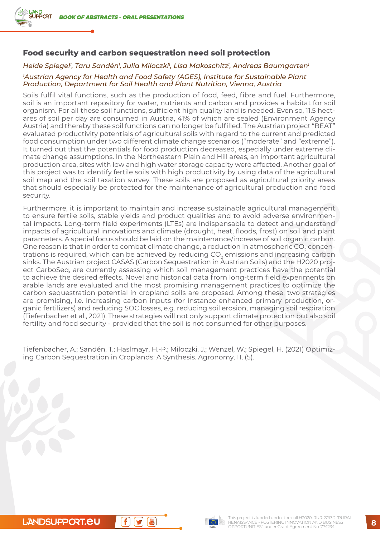# **Food security and carbon sequestration need soil protection**

## *Heide Spiegel1 , Taru Sandén1 , Julia Miloczki1 , Lisa Makoschitz1 , Andreas Baumgarten1 1 Austrian Agency for Health and Food Safety (AGES), Institute for Sustainable Plant Production, Department for Soil Health and Plant Nutrition, Vienna, Austria*

Soils fulfil vital functions, such as the production of food, feed, fibre and fuel. Furthermore, soil is an important repository for water, nutrients and carbon and provides a habitat for soil organism. For all these soil functions, sufficient high quality land is needed. Even so, 11.5 hectares of soil per day are consumed in Austria, 41% of which are sealed (Environment Agency Austria) and thereby these soil functions can no longer be fulfilled. The Austrian project "BEAT" evaluated productivity potentials of agricultural soils with regard to the current and predicted food consumption under two different climate change scenarios ("moderate" and "extreme"). It turned out that the potentials for food production decreased, especially under extreme climate change assumptions. In the Northeastern Plain and Hill areas, an important agricultural production area, sites with low and high water storage capacity were affected. Another goal of this project was to identify fertile soils with high productivity by using data of the agricultural soil map and the soil taxation survey. These soils are proposed as agricultural priority areas that should especially be protected for the maintenance of agricultural production and food security.

Furthermore, it is important to maintain and increase sustainable agricultural management to ensure fertile soils, stable yields and product qualities and to avoid adverse environmental impacts. Long-term field experiments (LTEs) are indispensable to detect and understand impacts of agricultural innovations and climate (drought, heat, floods, frost) on soil and plant parameters. A special focus should be laid on the maintenance/increase of soil organic carbon. One reason is that in order to combat climate change, a reduction in atmospheric CO<sub>2</sub> concentrations is required, which can be achieved by reducing CO<sub>2</sub> emissions and increasing carbon sinks. The Austrian project CASAS (Carbon Sequestration in Austrian Soils) and the H2020 project CarboSeq, are currently assessing which soil management practices have the potential to achieve the desired effects. Novel and historical data from long-term field experiments on arable lands are evaluated and the most promising management practices to optimize the carbon sequestration potential in cropland soils are proposed. Among these, two strategies are promising, i.e. increasing carbon inputs (for instance enhanced primary production, organic fertilizers) and reducing SOC losses, e.g. reducing soil erosion, managing soil respiration (Tiefenbacher et al., 2021). These strategies will not only support climate protection but also soil fertility and food security - provided that the soil is not consumed for other purposes.

Tiefenbacher, A.; Sandén, T.; Haslmayr, H.-P.; Miloczki, J.; Wenzel, W.; Spiegel, H. (2021) Optimizing Carbon Sequestration in Croplands: A Synthesis. Agronomy, 11, (5).

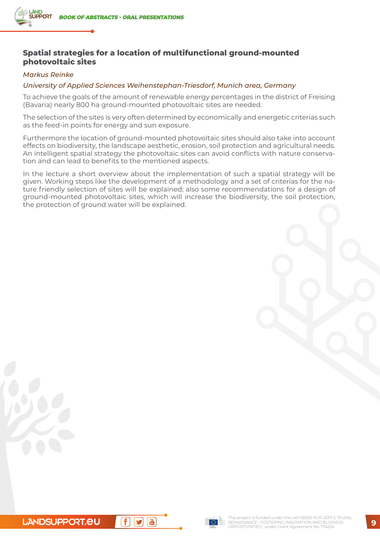# **Spatial strategies for a location of multifunctional ground-mounted photovoltaic sites**

#### *Markus Reinke*

#### *University of Applied Sciences Weihenstephan-Triesdorf, Munich area, Germany*

To achieve the goals of the amount of renewable energy percentages in the district of Freising (Bavaria) nearly 800 ha ground-mounted photovoltaic sites are needed.

The selection of the sites is very often determined by economically and energetic criterias such as the feed-in points for energy and sun exposure.

Furthermore the location of ground-mounted photovoltaic sites should also take into account effects on biodiversity, the landscape aesthetic, erosion, soil protection and agricultural needs. An intelligent spatial strategy the photovoltaic sites can avoid conflicts with nature conservation and can lead to benefits to the mentioned aspects.

In the lecture a short overview about the implementation of such a spatial strategy will be given. Working steps like the development of a methodology and a set of criterias for the nature friendly selection of sites will be explained; also some recommendations for a design of ground-mounted photovoltaic sites, which will increase the biodiversity, the soil protection, the protection of ground water will be explained.



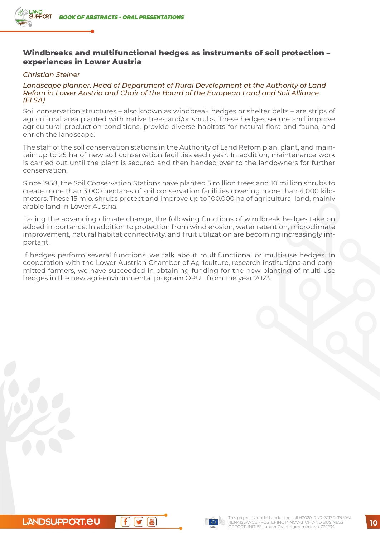# **Windbreaks and multifunctional hedges as instruments of soil protection – experiences in Lower Austria**

#### *Christian Steiner*

#### *Landscape planner, Head of Department of Rural Development at the Authority of Land Refom in Lower Austria and Chair of the Board of the European Land and Soil Alliance (ELSA)*

Soil conservation structures – also known as windbreak hedges or shelter belts – are strips of agricultural area planted with native trees and/or shrubs. These hedges secure and improve agricultural production conditions, provide diverse habitats for natural flora and fauna, and enrich the landscape.

The staff of the soil conservation stations in the Authority of Land Refom plan, plant, and maintain up to 25 ha of new soil conservation facilities each year. In addition, maintenance work is carried out until the plant is secured and then handed over to the landowners for further conservation.

Since 1958, the Soil Conservation Stations have planted 5 million trees and 10 million shrubs to create more than 3,000 hectares of soil conservation facilities covering more than 4,000 kilometers. These 15 mio. shrubs protect and improve up to 100.000 ha of agricultural land, mainly arable land in Lower Austria.

Facing the advancing climate change, the following functions of windbreak hedges take on added importance: In addition to protection from wind erosion, water retention, microclimate improvement, natural habitat connectivity, and fruit utilization are becoming increasingly important.

If hedges perform several functions, we talk about multifunctional or multi-use hedges. In cooperation with the Lower Austrian Chamber of Agriculture, research institutions and committed farmers, we have succeeded in obtaining funding for the new planting of multi-use hedges in the new agri-environmental program ÖPUL from the year 2023.

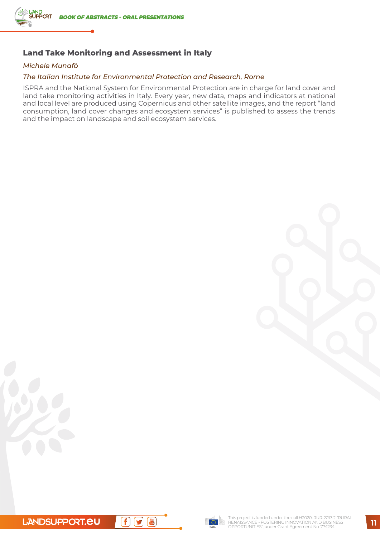

# **Land Take Monitoring and Assessment in Italy**

#### *Michele Munafò*

#### *The Italian Institute for Environmental Protection and Research, Rome*

ISPRA and the National System for Environmental Protection are in charge for land cover and land take monitoring activities in Italy. Every year, new data, maps and indicators at national and local level are produced using Copernicus and other satellite images, and the report "land consumption, land cover changes and ecosystem services" is published to assess the trends and the impact on landscape and soil ecosystem services.





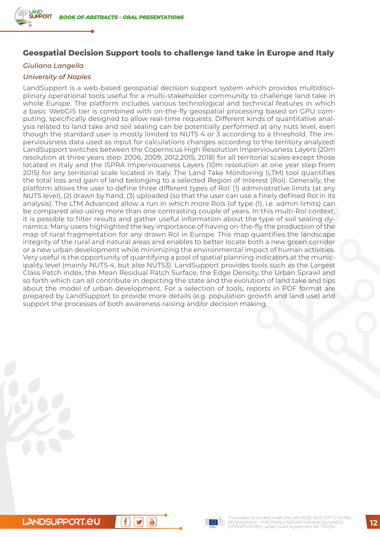# **Geospatial Decision Support tools to challenge land take in Europe and Italy**

# *Giuliano Langella*

#### *University of Naples*

LandSupport is a web-based geospatial decision support system which provides multidisciplinary operational tools useful for a multi-stakeholder community to challenge land take in whole Europe. The platform includes various technological and technical features in which a basic WebGIS tier is combined with on-the-fly geospatial processing based on GPU computing, specifically designed to allow real-time requests. Different kinds of quantitative analysis related to land take and soil sealing can be potentially performed at any nuts level, even though the standard user is mostly limited to NUTS 4 or 3 according to a threshold. The imperviousness data used as input for calculations changes according to the territory analyzed: LandSupport switches between the Copernicus High Resolution Imperviousness Layers (20m resolution at three years step: 2006, 2009, 2012,2015, 2018) for all territorial scales except those located in Italy and the ISPRA Imperviousness Layers (10m resolution at one year step from 2015) for any territorial scale located in Italy. The Land Take Monitoring (LTM) tool quantifies the total loss and gain of land belonging to a selected Region of Interest (RoI). Generally, the platform allows the user to define three different types of RoI: (1) administrative limits (at any NUTS level), (2) drawn by hand, (3) uploaded (so that the user can use a finely defined RoI in its analysis). The LTM Advanced allow a run in which more Rols (of type (1), i.e. admin limits) can be compared also using more than one contrasting couple of years. In this multi-RoI context, it is possible to filter results and gather useful information about the type of soil sealing dynamics. Many users highlighted the key importance of having on-the-fly the production of the map of rural fragmentation for any drown RoI in Europe. This map quantifies the landscape integrity of the rural and natural areas and enables to better locate both a new green corridor or a new urban development while minimizing the environmental impact of human activities. Very useful is the opportunity of quantifying a pool of spatial planning indicators at the municipality level (mainly NUTS 4, but also NUTS3). LandSupport provides tools such as the Largest Class Patch index, the Mean Residual Patch Surface, the Edge Density, the Urban Sprawl and so forth which can all contribute in depicting the state and the evolution of land take and tips about the model of urban development. For a selection of tools, reports in PDF format are prepared by LandSupport to provide more details (e.g. population growth and land use) and support the processes of both awareness raising and/or decision making.

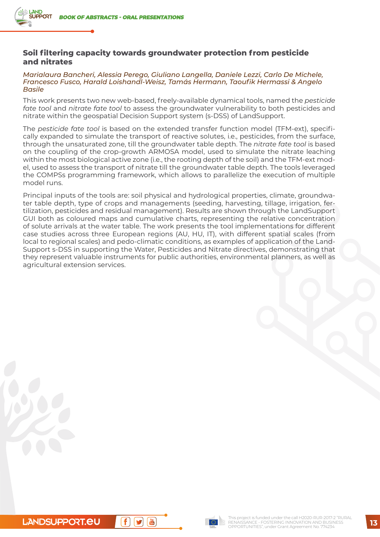# **Soil filtering capacity towards groundwater protection from pesticide and nitrates**

#### *Marialaura Bancheri, Alessia Perego, Giuliano Langella, Daniele Lezzi, Carlo De Michele, Francesco Fusco, Harald Loishandl-Weisz, Tamás Hermann, Taoufik Hermassi & Angelo Basile*

This work presents two new web-based, freely-available dynamical tools, named the *pesticide fate tool* and *nitrate fate tool* to assess the groundwater vulnerability to both pesticides and nitrate within the geospatial Decision Support system (s-DSS) of LandSupport.

The *pesticide fate tool* is based on the extended transfer function model (TFM-ext), specifically expanded to simulate the transport of reactive solutes, i.e., pesticides, from the surface, through the unsaturated zone, till the groundwater table depth. The *nitrate fate tool* is based on the coupling of the crop-growth ARMOSA model, used to simulate the nitrate leaching within the most biological active zone (i.e., the rooting depth of the soil) and the TFM-ext model, used to assess the transport of nitrate till the groundwater table depth. The tools leveraged the COMPSs programming framework, which allows to parallelize the execution of multiple model runs.

Principal inputs of the tools are: soil physical and hydrological properties, climate, groundwater table depth, type of crops and managements (seeding, harvesting, tillage, irrigation, fertilization, pesticides and residual management). Results are shown through the LandSupport GUI both as coloured maps and cumulative charts, representing the relative concentration of solute arrivals at the water table. The work presents the tool implementations for different case studies across three European regions (AU, HU, IT), with different spatial scales (from local to regional scales) and pedo-climatic conditions, as examples of application of the Land-Support s-DSS in supporting the Water, Pesticides and Nitrate directives, demonstrating that they represent valuable instruments for public authorities, environmental planners, as well as agricultural extension services.

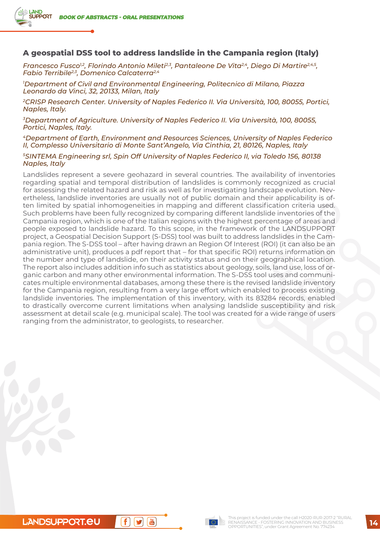**AND** 

## **A geospatial DSS tool to address landslide in the Campania region (Italy)**

*Francesco Fusco<sup>12</sup>, Florindo Antonio Mileti<sup>2,3</sup>, Pantaleone De Vita<sup>2,4</sup>, Diego Di Martire<sup>2,4,5</sup>, Fabio Terribile2,3, Domenico Calcaterra2,4*

*1 Department of Civil and Environmental Engineering, Politecnico di Milano, Piazza Leonardo da Vinci, 32, 20133, Milan, Italy*

*2CRISP Research Center. University of Naples Federico II. Via Università, 100, 80055, Portici, Naples, Italy.*

*3Department of Agriculture. University of Naples Federico II. Via Università, 100, 80055, Portici, Naples, Italy.*

*4Department of Earth, Environment and Resources Sciences, University of Naples Federico II, Complesso Universitario di Monte Sant'Angelo, Via Cinthia, 21, 80126, Naples, Italy*

*5SINTEMA Engineering srl, Spin Off University of Naples Federico II, via Toledo 156, 80138 Naples, Italy*

Landslides represent a severe geohazard in several countries. The availability of inventories regarding spatial and temporal distribution of landslides is commonly recognized as crucial for assessing the related hazard and risk as well as for investigating landscape evolution. Nevertheless, landslide inventories are usually not of public domain and their applicability is often limited by spatial inhomogeneities in mapping and different classification criteria used. Such problems have been fully recognized by comparing different landslide inventories of the Campania region, which is one of the Italian regions with the highest percentage of areas and people exposed to landslide hazard. To this scope, in the framework of the LANDSUPPORT project, a Geospatial Decision Support (S-DSS) tool was built to address landslides in the Campania region. The S-DSS tool – after having drawn an Region Of Interest (ROI) (it can also be an administrative unit), produces a pdf report that – for that specific ROI) returns information on the number and type of landslide, on their activity status and on their geographical location. The report also includes addition info such as statistics about geology, soils, land use, loss of organic carbon and many other environmental information. The S-DSS tool uses and communicates multiple environmental databases, among these there is the revised landslide inventory for the Campania region, resulting from a very large effort which enabled to process existing landslide inventories. The implementation of this inventory, with its 83284 records, enabled to drastically overcome current limitations when analysing landslide susceptibility and risk assessment at detail scale (e.g. municipal scale). The tool was created for a wide range of users ranging from the administrator, to geologists, to researcher.

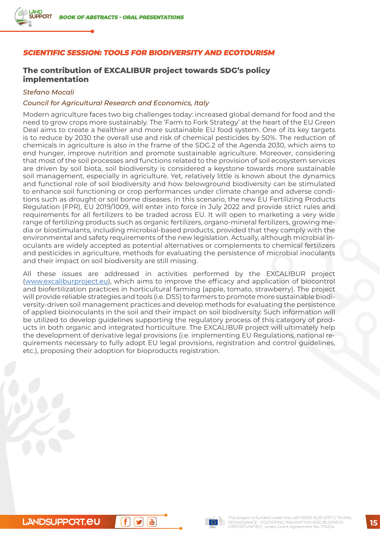#### **SCIENTIFIC SESSION: TOOLS FOR BIODIVERSITY AND ECOTOURISM**

# **The contribution of EXCALIBUR project towards SDG's policy implementation**

#### *Stefano Mocali*

#### *Council for Agricultural Research and Economics, Italy*

Modern agriculture faces two big challenges today: increased global demand for food and the need to grow crops more sustainably. The 'Farm to Fork Strategy' at the heart of the EU Green Deal aims to create a healthier and more sustainable EU food system. One of its key targets is to reduce by 2030 the overall use and risk of chemical pesticides by 50%. The reduction of chemicals in agriculture is also in the frame of the SDG.2 of the Agenda 2030, which aims to end hunger, improve nutrition and promote sustainable agriculture. Moreover, considering that most of the soil processes and functions related to the provision of soil ecosystem services are driven by soil biota, soil biodiversity is considered a keystone towards more sustainable soil management, especially in agriculture. Yet, relatively little is known about the dynamics and functional role of soil biodiversity and how belowground biodiversity can be stimulated to enhance soil functioning or crop performances under climate change and adverse conditions such as drought or soil borne diseases. In this scenario, the new EU Fertilizing Products Regulation (FPR), EU 2019/1009, will enter into force in July 2022 and provide strict rules and requirements for all fertilizers to be traded across EU. It will open to marketing a very wide range of fertilizing products such as organic fertilizers, organo-mineral fertilizers, growing media or biostimulants, including microbial-based products, provided that they comply with the environmental and safety requirements of the new legislation. Actually, although microbial inoculants are widely accepted as potential alternatives or complements to chemical fertilizers and pesticides in agriculture, methods for evaluating the persistence of microbial inoculants and their impact on soil biodiversity are still missing.

All these issues are addressed in activities performed by the EXCALIBUR project [\(www.excaliburproject.eu](http://www.excaliburproject.eu)), which aims to improve the efficacy and application of biocontrol and biofertilization practices in horticultural farming (apple, tomato, strawberry). The project will provide reliable strategies and tools (i.e. DSS) to farmers to promote more sustainable biodiversity-driven soil management practices and develop methods for evaluating the persistence of applied bioinoculants in the soil and their impact on soil biodiversity. Such information will be utilized to develop guidelines supporting the regulatory process of this category of products in both organic and integrated horticulture. The EXCALIBUR project will ultimately help the development of derivative legal provisions (i.e. implementing EU Regulations, national requirements necessary to fully adopt EU legal provisions, registration and control guidelines, etc.), proposing their adoption for bioproducts registration.

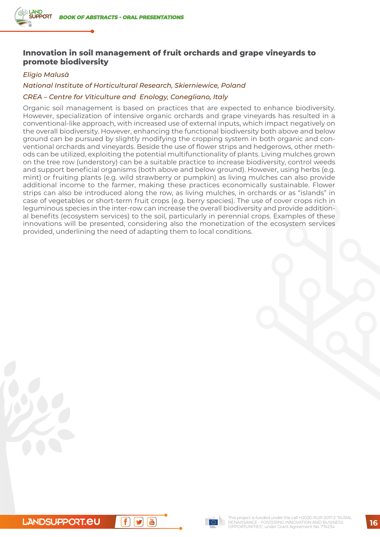# **Innovation in soil management of fruit orchards and grape vineyards to promote biodiversity**

#### *Eligio Malusà*

#### *National Institute of Horticultural Research, Skierniewice, Poland*

#### *CREA – Centre for Viticulture and Enology, Conegliano, Italy*

Organic soil management is based on practices that are expected to enhance biodiversity. However, specialization of intensive organic orchards and grape vineyards has resulted in a conventional-like approach, with increased use of external inputs, which impact negatively on the overall biodiversity. However, enhancing the functional biodiversity both above and below ground can be pursued by slightly modifying the cropping system in both organic and conventional orchards and vineyards. Beside the use of flower strips and hedgerows, other methods can be utilized, exploiting the potential multifunctionality of plants. Living mulches grown on the tree row (understory) can be a suitable practice to increase biodiversity, control weeds and support beneficial organisms (both above and below ground). However, using herbs (e.g. mint) or fruiting plants (e.g. wild strawberry or pumpkin) as living mulches can also provide additional income to the farmer, making these practices economically sustainable. Flower strips can also be introduced along the row, as living mulches, in orchards or as "islands" in case of vegetables or short-term fruit crops (e.g. berry species). The use of cover crops rich in leguminous species in the inter-row can increase the overall biodiversity and provide additional benefits (ecosystem services) to the soil, particularly in perennial crops. Examples of these innovations will be presented, considering also the monetization of the ecosystem services provided, underlining the need of adapting them to local conditions.

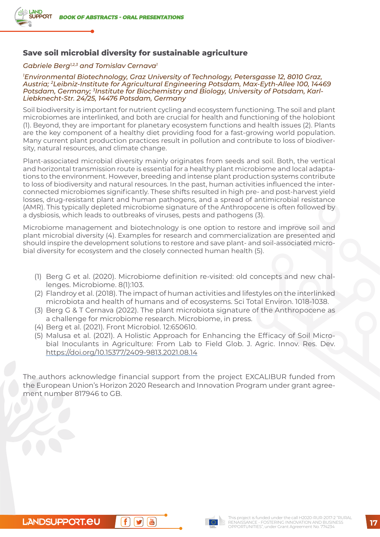# **Save soil microbial diversity for sustainable agriculture**

#### *Gabriele Berg1,2,3 and Tomislav Cernava1*

*1 Environmental Biotechnology, Graz University of Technology, Petersgasse 12, 8010 Graz, Austria; 2Leibniz-Institute for Agricultural Engineering Potsdam, Max-Eyth-Allee 100, 14469 Potsdam, Germany; 3Institute for Biochemistry and Biology, University of Potsdam, Karl-Liebknecht-Str. 24/25, 14476 Potsdam, Germany*

Soil biodiversity is important for nutrient cycling and ecosystem functioning. The soil and plant microbiomes are interlinked, and both are crucial for health and functioning of the holobiont (1). Beyond, they are important for planetary ecosystem functions and health issues (2). Plants are the key component of a healthy diet providing food for a fast-growing world population. Many current plant production practices result in pollution and contribute to loss of biodiversity, natural resources, and climate change.

Plant-associated microbial diversity mainly originates from seeds and soil. Both, the vertical and horizontal transmission route is essential for a healthy plant microbiome and local adaptations to the environment. However, breeding and intense plant production systems contribute to loss of biodiversity and natural resources. In the past, human activities influenced the interconnected microbiomes significantly. These shifts resulted in high pre- and post-harvest yield losses, drug-resistant plant and human pathogens, and a spread of antimicrobial resistance (AMR). This typically depleted microbiome signature of the Anthropocene is often followed by a dysbiosis, which leads to outbreaks of viruses, pests and pathogens (3).

Microbiome management and biotechnology is one option to restore and improve soil and plant microbial diversity (4). Examples for research and commercialization are presented and should inspire the development solutions to restore and save plant- and soil-associated microbial diversity for ecosystem and the closely connected human health (5).

- (1) Berg G et al. (2020). Microbiome definition re-visited: old concepts and new challenges. Microbiome. 8(1):103.
- (2) Flandroy et al. (2018). The impact of human activities and lifestyles on the interlinked microbiota and health of humans and of ecosystems. Sci Total Environ. 1018-1038.
- (3) Berg G & T Cernava (2022). The plant microbiota signature of the Anthropocene as a challenge for microbiome research. Microbiome, in press.
- (4) Berg et al. (2021). Front Microbiol. 12:650610.
- (5) Malusa et al. (2021). A Holistic Approach for Enhancing the Efficacy of Soil Microbial Inoculants in Agriculture: From Lab to Field Glob. J. Agric. Innov. Res. Dev. <https://doi.org/10.15377/2409-9813.2021.08.14>

The authors acknowledge financial support from the project EXCALIBUR funded from the European Union's Horizon 2020 Research and Innovation Program under grant agreement number 817946 to GB.

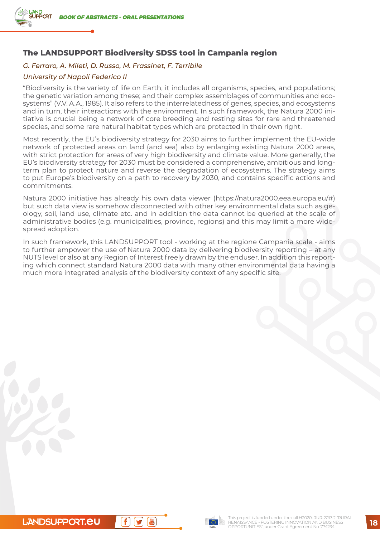

# **The LANDSUPPORT Biodiversity SDSS tool in Campania region**

#### *G. Ferraro, A. Mileti, D. Russo, M. Frassinet, F. Terribile*

#### *University of Napoli Federico II*

"Biodiversity is the variety of life on Earth, it includes all organisms, species, and populations; the genetic variation among these; and their complex assemblages of communities and ecosystems" (V.V. A.A., 1985). It also refers to the interrelatedness of genes, species, and ecosystems and in turn, their interactions with the environment. In such framework, the Natura 2000 initiative is crucial being a network of core breeding and resting sites for rare and threatened species, and some rare natural habitat types which are protected in their own right.

Most recently, the EU's biodiversity strategy for 2030 aims to further implement the EU-wide network of protected areas on land (and sea) also by enlarging existing Natura 2000 areas, with strict protection for areas of very high biodiversity and climate value. More generally, the EU's biodiversity strategy for 2030 must be considered a comprehensive, ambitious and longterm plan to protect nature and reverse the degradation of ecosystems. The strategy aims to put Europe's biodiversity on a path to recovery by 2030, and contains specific actions and commitments.

Natura 2000 initiative has already his own data viewer (https://natura2000.eea.europa.eu/#) but such data view is somehow disconnected with other key environmental data such as geology, soil, land use, climate etc. and in addition the data cannot be queried at the scale of administrative bodies (e.g. municipalities, province, regions) and this may limit a more widespread adoption.

In such framework, this LANDSUPPORT tool - working at the regione Campania scale - aims to further empower the use of Natura 2000 data by delivering biodiversity reporting – at any NUTS level or also at any Region of Interest freely drawn by the enduser. In addition this reporting which connect standard Natura 2000 data with many other environmental data having a much more integrated analysis of the biodiversity context of any specific site.

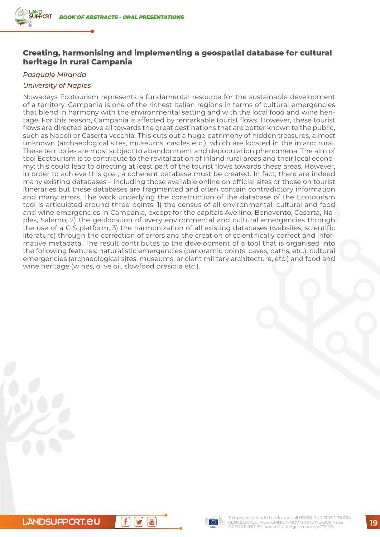# **Creating, harmonising and implementing a geospatial database for cultural heritage in rural Campania**

#### *Pasquale Miranda*

## *University of Naples*

Nowadays Ecotourism represents a fundamental resource for the sustainable development of a territory. Campania is one of the richest Italian regions in terms of cultural emergencies that blend in harmony with the environmental setting and with the local food and wine heritage. For this reason, Campania is affected by remarkable tourist flows. However, these tourist flows are directed above all towards the great destinations that are better known to the public, such as Napoli or Caserta vecchia. This cuts out a huge patrimony of hidden treasures, almost unknown (archaeological sites, museums, castles etc.), which are located in the inland rural. These territories are most subject to abandonment and depopulation phenomena. The aim of tool Ecotourism is to contribute to the revitalization of inland rural areas and their local economy; this could lead to directing at least part of the tourist flows towards these areas. However, in order to achieve this goal, a coherent database must be created. In fact, there are indeed many existing databases – including those available online on official sites or those on tourist itineraries but these databases are fragmented and often contain contradictory information and many errors. The work underlying the construction of the database of the Ecotourism tool is articulated around three points: 1) the census of all environmental, cultural and food and wine emergencies in Campania, except for the capitals Avellino, Benevento, Caserta, Naples, Salerno; 2) the geolocation of every environmental and cultural emergencies through the use of a GIS platform; 3) the harmonization of all existing databases (websites, scientific literature) through the correction of errors and the creation of scientifically correct and informative metadata. The result contributes to the development of a tool that is organised into the following features: naturalistic emergencies (panoramic points, caves, paths, etc.), cultural emergencies (archaeological sites, museums, ancient military architecture, etc.) and food and wine heritage (wines, olive oil, slowfood presidia etc.).